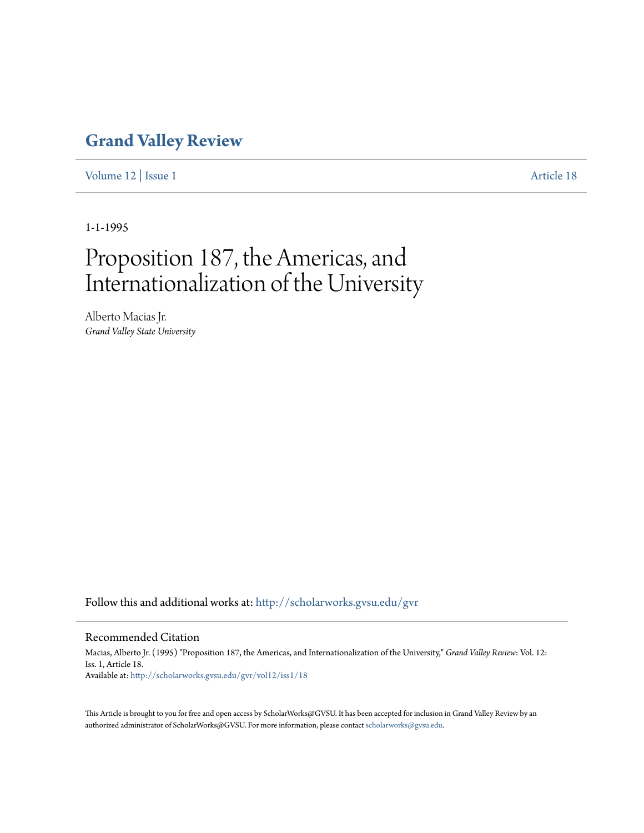## **[Grand Valley Review](http://scholarworks.gvsu.edu/gvr?utm_source=scholarworks.gvsu.edu%2Fgvr%2Fvol12%2Fiss1%2F18&utm_medium=PDF&utm_campaign=PDFCoverPages)**

[Volume 12](http://scholarworks.gvsu.edu/gvr/vol12?utm_source=scholarworks.gvsu.edu%2Fgvr%2Fvol12%2Fiss1%2F18&utm_medium=PDF&utm_campaign=PDFCoverPages) | [Issue 1](http://scholarworks.gvsu.edu/gvr/vol12/iss1?utm_source=scholarworks.gvsu.edu%2Fgvr%2Fvol12%2Fiss1%2F18&utm_medium=PDF&utm_campaign=PDFCoverPages) [Article 18](http://scholarworks.gvsu.edu/gvr/vol12/iss1/18?utm_source=scholarworks.gvsu.edu%2Fgvr%2Fvol12%2Fiss1%2F18&utm_medium=PDF&utm_campaign=PDFCoverPages)

1-1-1995

# Proposition 187, the Americas, and Internationalization of the University

Alberto Macias Jr. *Grand Valley State University*

Follow this and additional works at: [http://scholarworks.gvsu.edu/gvr](http://scholarworks.gvsu.edu/gvr?utm_source=scholarworks.gvsu.edu%2Fgvr%2Fvol12%2Fiss1%2F18&utm_medium=PDF&utm_campaign=PDFCoverPages)

#### Recommended Citation

Macias, Alberto Jr. (1995) "Proposition 187, the Americas, and Internationalization of the University," *Grand Valley Review*: Vol. 12: Iss. 1, Article 18. Available at: [http://scholarworks.gvsu.edu/gvr/vol12/iss1/18](http://scholarworks.gvsu.edu/gvr/vol12/iss1/18?utm_source=scholarworks.gvsu.edu%2Fgvr%2Fvol12%2Fiss1%2F18&utm_medium=PDF&utm_campaign=PDFCoverPages)

This Article is brought to you for free and open access by ScholarWorks@GVSU. It has been accepted for inclusion in Grand Valley Review by an authorized administrator of ScholarWorks@GVSU. For more information, please contact [scholarworks@gvsu.edu.](mailto:scholarworks@gvsu.edu)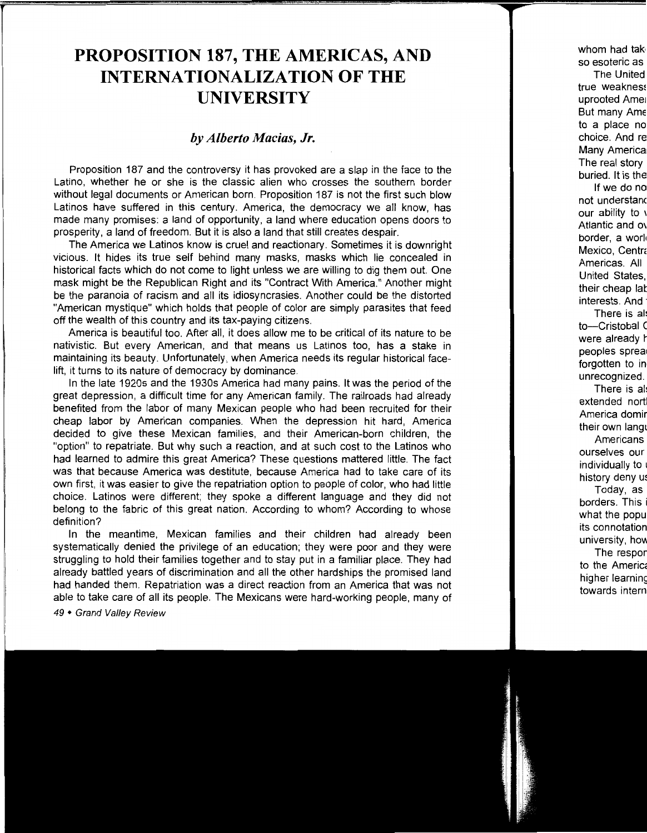## **PROPOSITION 187, THE AMERICAS, AND INTERNATIONALIZATION OF THE UNIVERSITY**

### *by Alberto Macias, Jr.*

Proposition 187 and the controversy it has provoked are a slap in the face to the Latino, whether he or she is the classic alien who crosses the southern border without legal documents or American born. Proposition 187 is not the first such blow Latinos have suffered in this century. America, the democracy we all know, has made many promises: a land of opportunity, a land where education opens doors to prosperity, a land of freedom. But it is also a land that still creates despair.

The America we Latinos know is cruel and reactionary. Sometimes it is downright vicious. It hides its true self behind many masks, masks which lie concealed in historical facts which do not come to light unless we are willing to dig them out. One mask might be the Republican Right and its "Contract With America." Another might be the paranoia of racism and all its idiosyncrasies. Another could be the distorted "American mystique" which holds that people of color are simply parasites that feed off the wealth of this country and its tax-paying citizens.

America is beautiful too. After all, it does allow me to be critical of its nature to be nativistic. But every American, and that means us Latinos too, has a stake in maintaining its beauty. Unfortunately, when America needs its regular historical facelift, it turns to its nature of democracy by dominance.

In the late 1920s and the 1930s America had many pains. It was the period of the great depression, a difficult time for any American family. The railroads had already benefited from the labor of many Mexican people who had been recruited for their cheap labor by American companies. When the depression hit hard, America decided to give these Mexican families, and their American-born children, the "option" to repatriate. But why such a reaction, and at such cost to the Latinos who had learned to admire this great America? These questions mattered little. The fact was that because America was destitute, because America had to take care of its own first, it was easier to give the repatriation option to people of color, who had little choice. Latinos were different; they spoke a different language and they did not belong to the fabric of this great nation. According to whom? According to whose definition?

In the meantime, Mexican families and their children had already been systematically denied the privilege of an education; they were poor and they were struggling to hold their families together and to stay put in a familiar place. They had already battled years of discrimination and all the other hardships the promised land had handed them. Repatriation was a direct reaction from an America that was not able to take care of all its people. The Mexicans were hard-working people, many of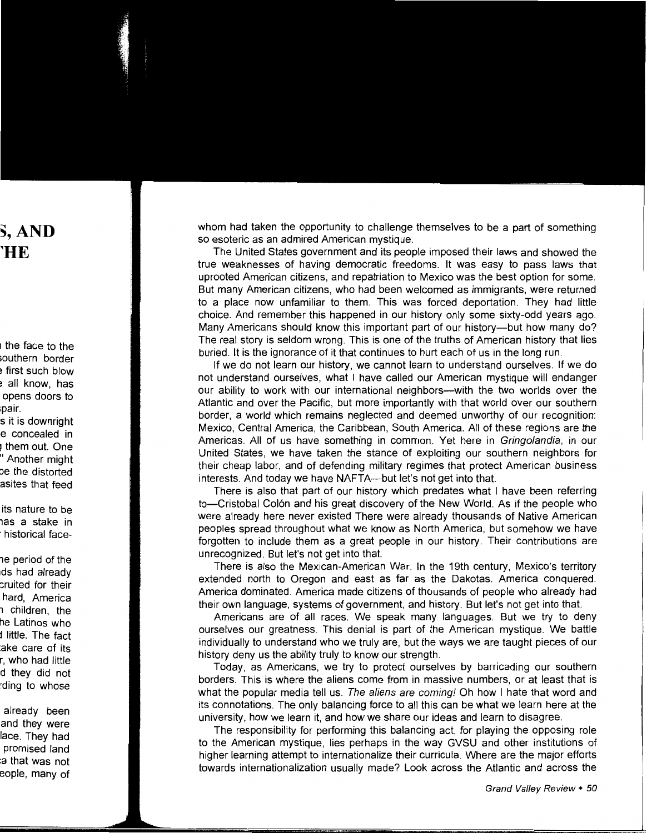whom had taken the opportunity to challenge themselves to be a part of something so esoteric as an admired American mystique.

The United States government and its people imposed their laws and showed the true weaknesses of having democratic freedoms. It was easy to pass laws that uprooted American citizens, and repatriation to Mexico was the best option for some. But many American citizens, who had been welcomed as immigrants, were returned to a place now unfamiliar to them. This was forced deportation. They had little choice. And remember this happened in our history only some sixty-odd years ago. Many Americans should know this important part of our history-but how many do? The real story is seldom wrong. This is one of the truths of American history that lies buried. It is the ignorance of it that continues to hurt each of us in the long run.

If we do not learn our history, we cannot learn to understand ourselves. If we do not understand ourselves, what I have called our American mystique will endanger our ability to work with our international neighbors-with the two worlds over the Atlantic and over the Pacific, but more importantly with that world over our southern border, a world which remains neglected and deemed unworthy of our recognition: Mexico, Central America, the Caribbean, South America. All of these regions are the Americas. All of us have something in common. Yet here in Gringolandia, in our United States, we have taken the stance of exploiting our southern neighbors for their cheap labor, and of defending military regimes that protect American business interests. And today we have NAFTA—but let's not get into that.

There is also that part of our history which predates what I have been referring to-Cristobal Colon and his great discovery of the New World. As if the people who were already here never existed There were already thousands of Native American peoples spread throughout what we know as North America, but somehow we have forgotten to include them as a great people in our history. Their contributions are unrecognized. But let's not get into that.

There is also the Mexican-American War. In the 19th century, Mexico's territory extended north to Oregon and east as far as the Dakotas. America conquered. America dominated. America made citizens of thousands of people who already had their own language, systems of government, and history. But let's not get into that.

Americans are of all races. We speak many languages. But we try to deny ourselves our greatness. This denial is part of the American mystique. We battle individually to understand who we truly are, but the ways we are taught pieces of our history deny us the ability truly to know our strength.

Today, as Americans, we try to protect ourselves by barricading our southern borders. This is where the aliens come from in massive numbers, or at least that is what the popular media tell us. The aliens are coming! Oh how I hate that word and its connotations. The only balancing force to all this can be what we learn here at the university, how we learn it, and how we share our ideas and learn to disagree.

The responsibility for performing this balancing act, for playing the opposing role to the American mystique, lies perhaps in the way GVSU and other institutions of higher learning attempt to internationalize their curricula. Where are the major efforts towards internationalization usually made? Look across the Atlantic and across the